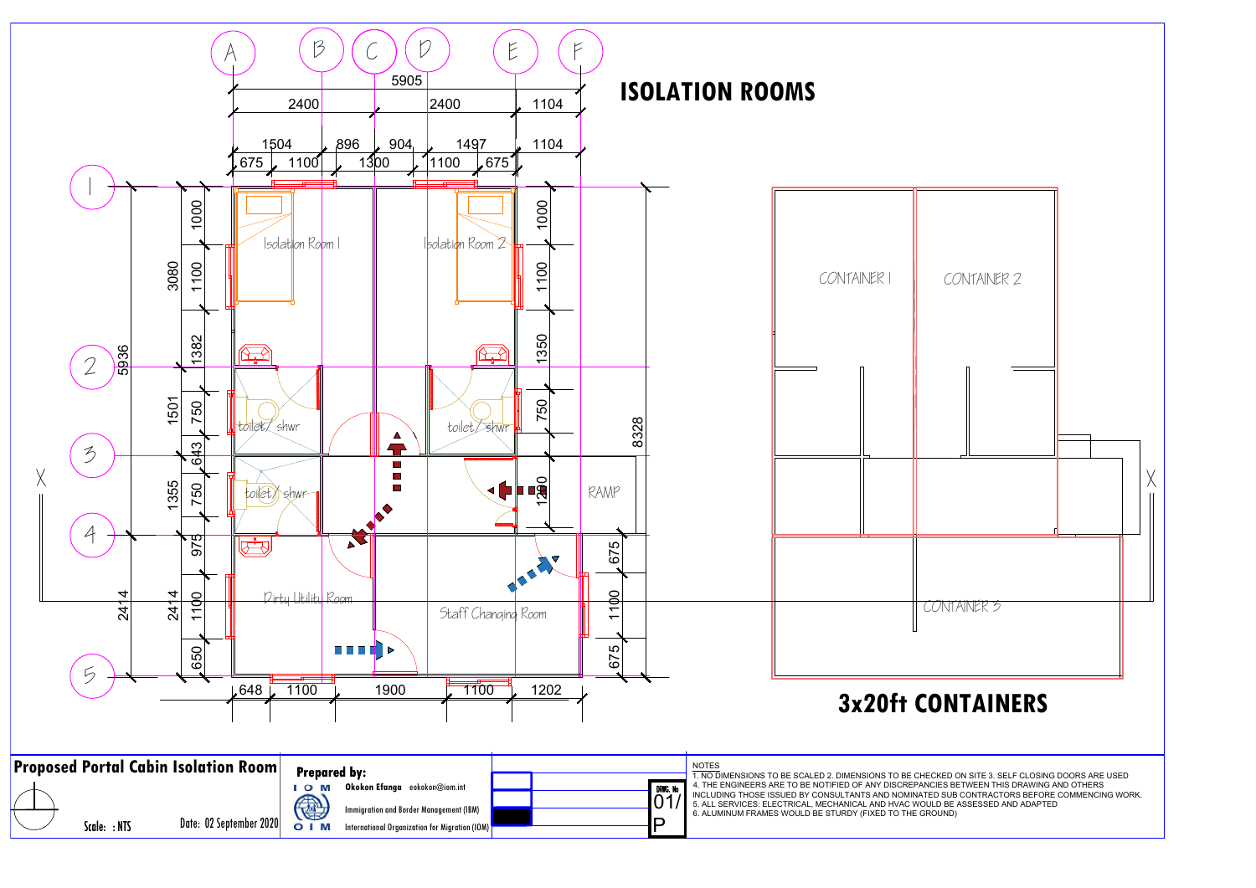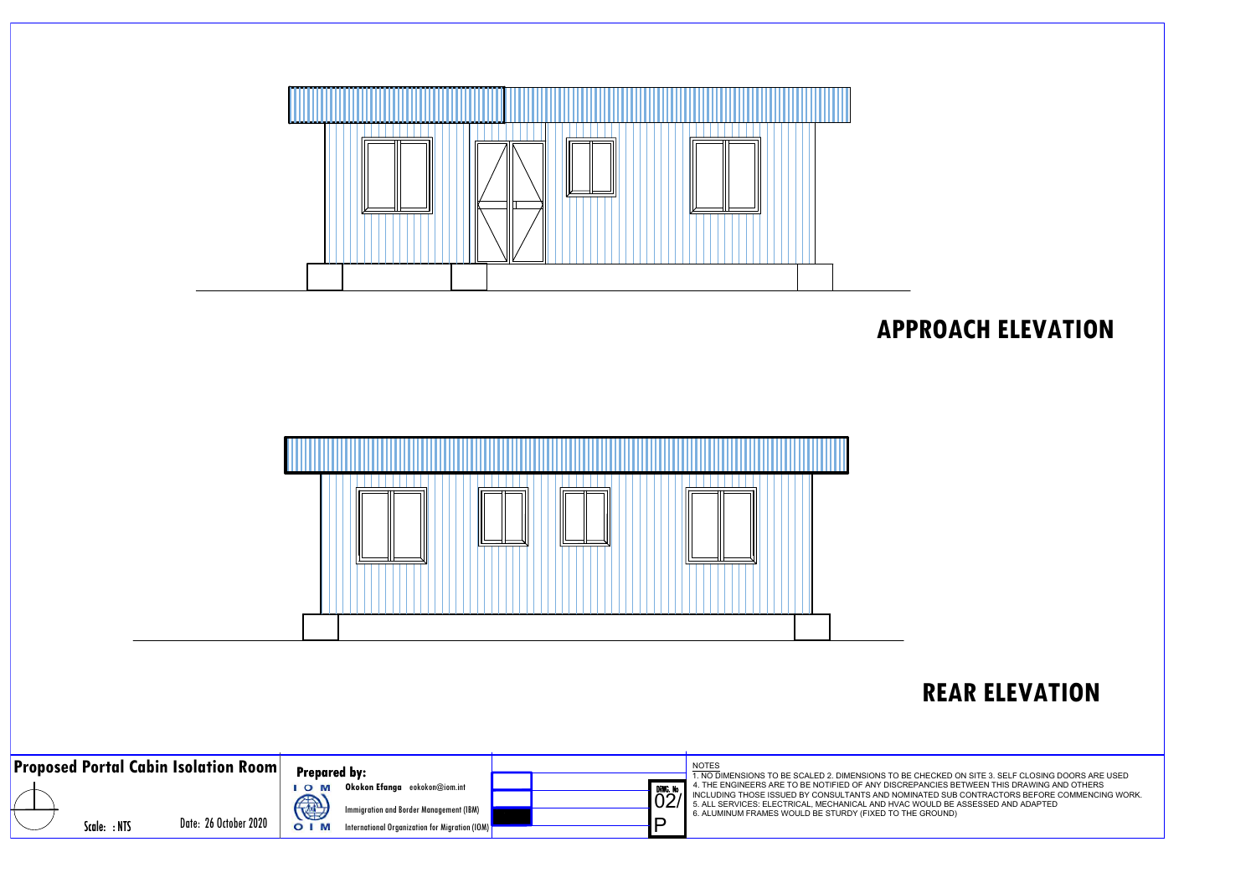

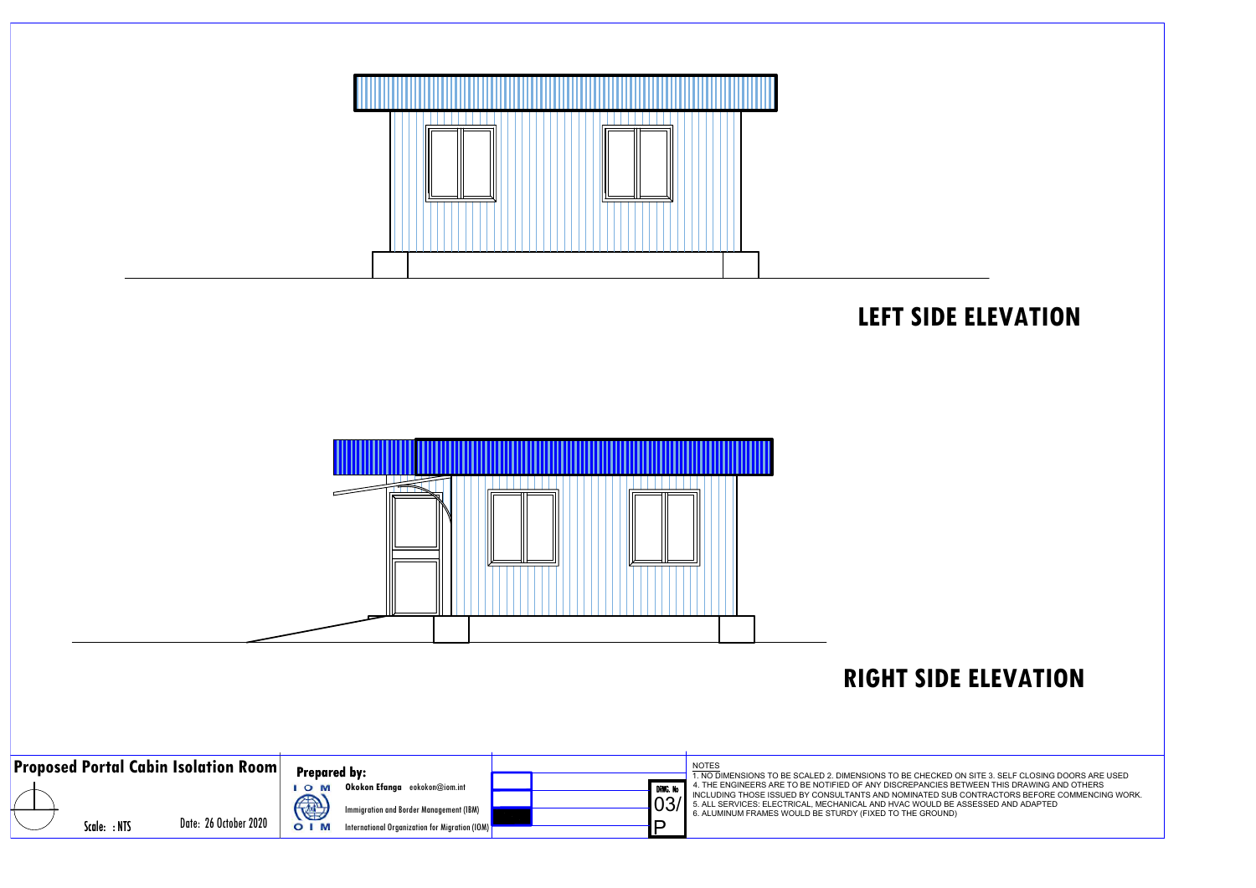

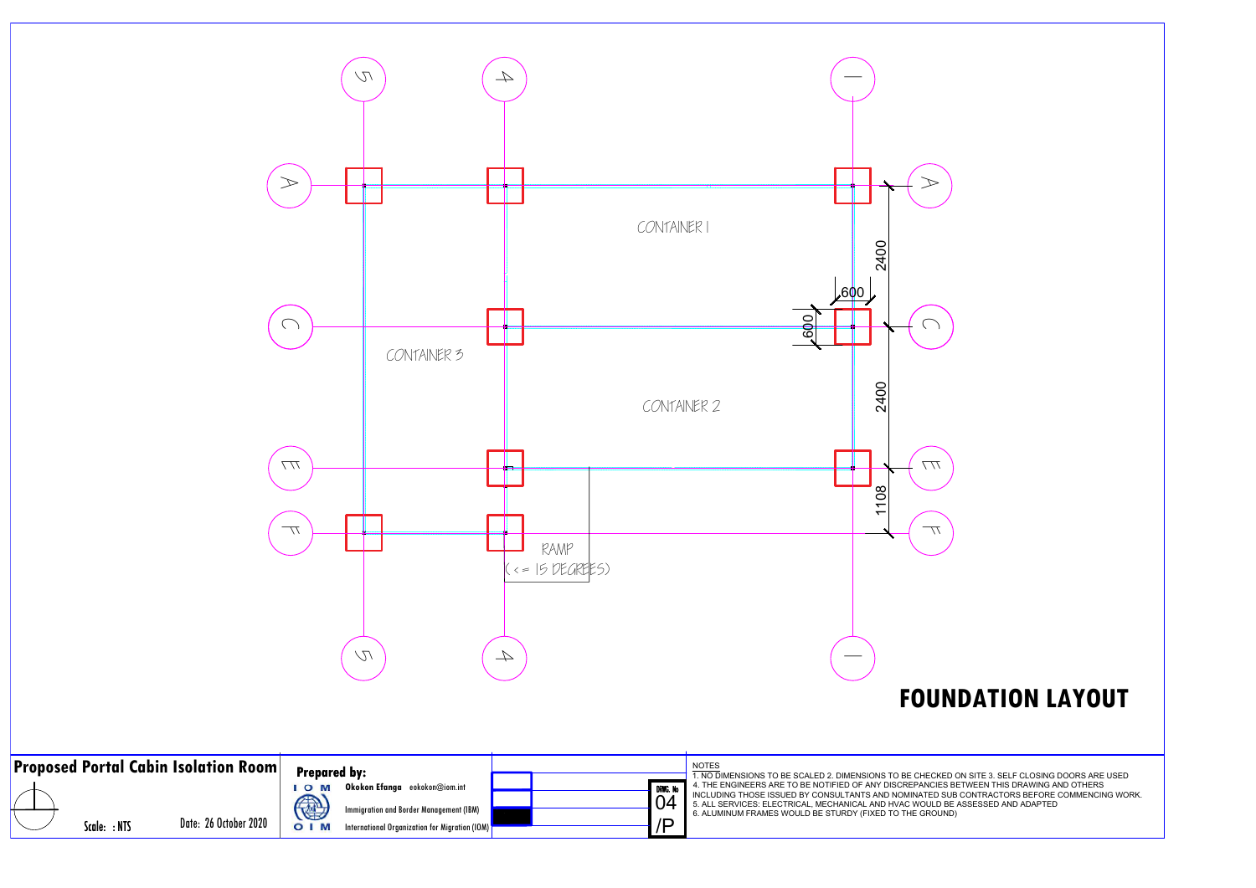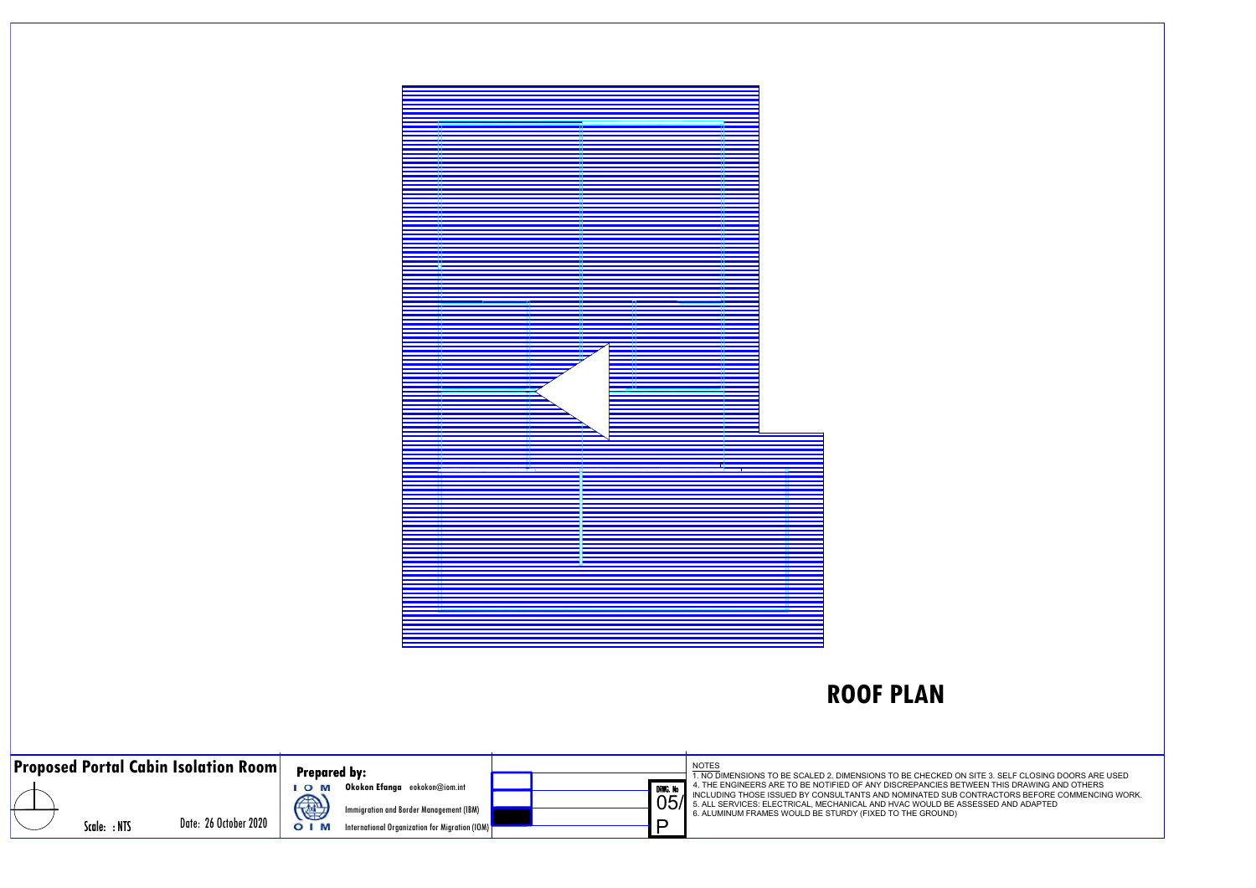

| <b>Proposed Portal Cabin Isolation Room</b> |  |              | <b>Prepared by:</b>   |                       |                                                                                                                                          |  |  | <b>NOTES</b><br>. NO DIMENSIONS TO BE SCALED 2. DIMENSIONS TO BE CHECKE |                                                                                                                                                                                                                                           |
|---------------------------------------------|--|--------------|-----------------------|-----------------------|------------------------------------------------------------------------------------------------------------------------------------------|--|--|-------------------------------------------------------------------------|-------------------------------------------------------------------------------------------------------------------------------------------------------------------------------------------------------------------------------------------|
|                                             |  | Scale: : NTS | Date: 26 October 2020 | $O$ M<br>4<br>$O$   M | Okokon Efanga eokokon@iom.int<br><b>Immigration and Border Management (IBM)</b><br><b>International Organization for Migration (IOM)</b> |  |  | DRWG. No<br>D                                                           | 4. THE ENGINEERS ARE TO BE NOTIFIED OF ANY DISCREPANCIES<br>INCLUDING THOSE ISSUED BY CONSULTANTS AND NOMINATED S<br>05% 5. ALL SERVICES: ELECTRICAL, MECHANICAL AND HVAC WOULD<br>6. ALUMINUM FRAMES WOULD BE STURDY (FIXED TO THE GROUN |

**ROOF PLAN**<br>D2. DIMENSIONS TO BE CHECKED ON SITE 3. SELF CLOSING DOORS ARE USED<br>DTIFIED OF ANY DISCREPANCIES BETWEEN THIS DRAWING AND OTHERS<br>DNSULTANTS AND NOMINATED SUB CONTRACTORS BEFORE COMMENCING WORK.<br>ECHANICAL AND HV